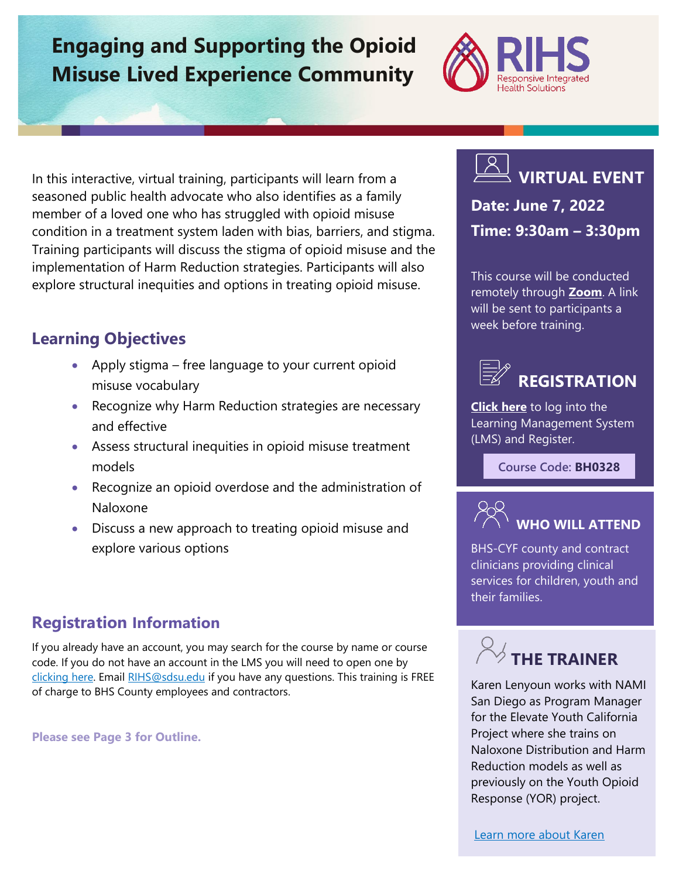# **Engaging and Supporting the Opioid Misuse Lived Experience Community**



In this interactive, virtual training, participants will learn from a seasoned public health advocate who also identifies as a family member of a loved one who has struggled with opioid misuse condition in a treatment system laden with bias, barriers, and stigma. Training participants will discuss the stigma of opioid misuse and the implementation of Harm Reduction strategies. Participants will also explore structural inequities and options in treating opioid misuse.

# **Learning Objectives**

- Apply stigma free language to your current opioid misuse vocabulary
- Recognize why Harm Reduction strategies are necessary and effective
- Assess structural inequities in opioid misuse treatment models
- Recognize an opioid overdose and the administration of Naloxone
- Discuss a new approach to treating opioid misuse and explore various options

## **Registration Information**

If you already have an account, you may search for the course by name or course code. If you do not have an account in the LMS you will need to open one by [clicking here.](https://sdsumbrs.az1.qualtrics.com/jfe/form/SV_0c75lYpeur5l9rv) Email [RIHS@sdsu.edu](file:///C:/Users/mperezgonzalez/Downloads/RIHS@sdsu.edu) if you have any questions. This training is FREE of charge to BHS County employees and contractors.

**Please see Page 3 for Outline.**



**Date: June 7, 2022 Time: 9:30am – 3:30pm**

This course will be conducted remotely through **[Zoom](https://zoom.us/)**. A link will be sent to participants a week before training.



**[Click here](https://academy.sumtotal.host/Broker/Account/Login.aspx?wtrealm=https%3a%2f%2fACADEMY.sumtotal.host%2fcore%2f&ReturnUrl=http%3a%2f%2facademy.sumtotal.host%2fBroker%2fToken%2fSaml11.ashx%3fwa%3dwsignin1.0%26wtrealm%3dhttps%253a%252f%252fACADEMY.sumtotal.host%252fcore%252f%26wreply%3dhttp%253a%252f%252facademy.sumtotal.host%252fcore%252f&IsHybridOrNativeClient=False&domainid=52160A28FC58BBBE7D714E075077AC76)** to log into the Learning Management System (LMS) and Register.

**Course Code: BH0328**



BHS-CYF county and contract clinicians providing clinical services for children, youth and their families.



Karen Lenyoun works with NAMI San Diego as Program Manager for the Elevate Youth California Project where she trains on Naloxone Distribution and Harm Reduction models as well as previously on the Youth Opioid Response (YOR) project.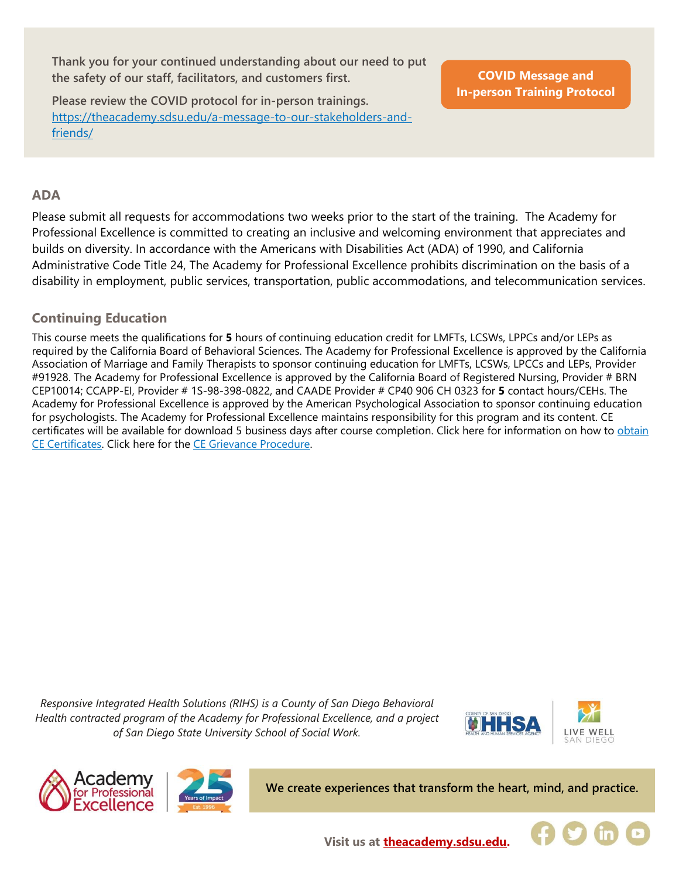**Thank you for your continued understanding about our need to put the safety of our staff, facilitators, and customers first.**

**Please review the COVID protocol for in-person trainings.**  [https://theacademy.sdsu.edu/a-message-to-our-stakeholders-and](https://theacademy.sdsu.edu/a-message-to-our-stakeholders-and-friends/)[friends/](https://theacademy.sdsu.edu/a-message-to-our-stakeholders-and-friends/)

**COVID Message and [In-person Training Protocol](https://theacademy.sdsu.edu/a-message-to-our-stakeholders-and-friends/)**

#### **ADA**

Please submit all requests for accommodations two weeks prior to the start of the training. The Academy for Professional Excellence is committed to creating an inclusive and welcoming environment that appreciates and builds on diversity. In accordance with the Americans with Disabilities Act (ADA) of 1990, and California Administrative Code Title 24, The Academy for Professional Excellence prohibits discrimination on the basis of a disability in employment, public services, transportation, public accommodations, and telecommunication services.

### **Continuing Education**

This course meets the qualifications for **5** hours of continuing education credit for LMFTs, LCSWs, LPPCs and/or LEPs as required by the California Board of Behavioral Sciences. The Academy for Professional Excellence is approved by the California Association of Marriage and Family Therapists to sponsor continuing education for LMFTs, LCSWs, LPCCs and LEPs, Provider #91928. The Academy for Professional Excellence is approved by the California Board of Registered Nursing, Provider # BRN CEP10014; CCAPP-EI, Provider # 1S-98-398-0822, and CAADE Provider # CP40 906 CH 0323 for **5** contact hours/CEHs. The Academy for Professional Excellence is approved by the American Psychological Association to sponsor continuing education for psychologists. The Academy for Professional Excellence maintains responsibility for this program and its content. CE certificates will be available for download 5 business days after course completion. Click here for information on how to [obtain](https://theacademy.sdsu.edu/programs/rihs/rihs-faq/)  [CE Certificates.](https://theacademy.sdsu.edu/programs/rihs/rihs-faq/) Click here for the [CE Grievance Procedure.](https://drive.google.com/file/d/10H4zN0gLatK2hP5SJpe0HTZkZpYm8GRj/view)

*Responsive Integrated Health Solutions (RIHS) is a County of San Diego Behavioral Health contracted program of the Academy for Professional Excellence, and a project of San Diego State University School of Social Work.*







**We create experiences that transform the heart, mind, and practice.**



**Visit us at [theacademy.sdsu.edu.](https://theacademy.sdsu.edu/)**